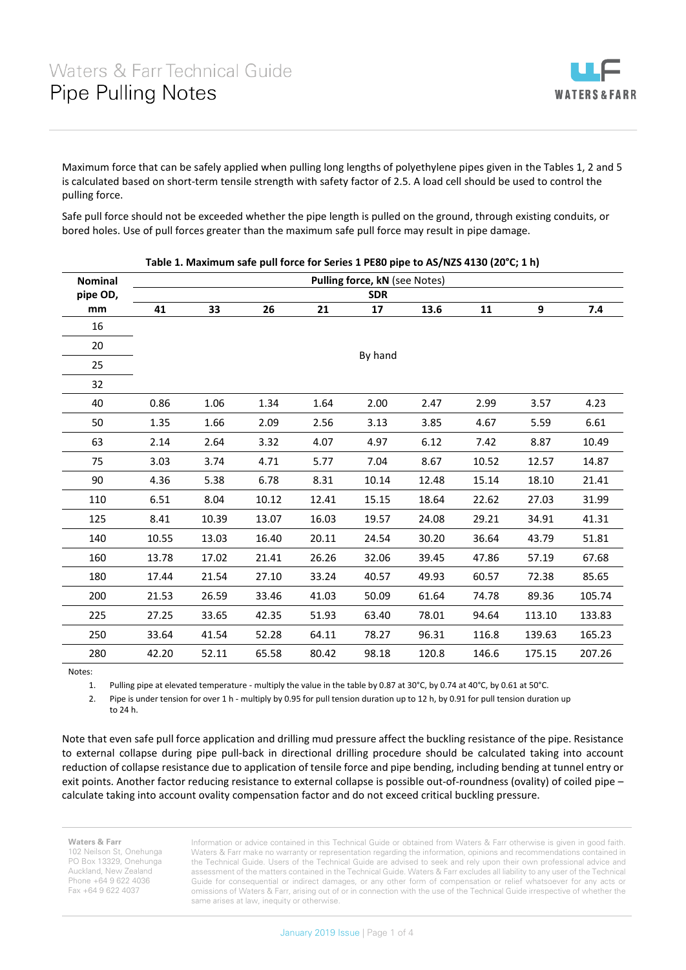

Maximum force that can be safely applied when pulling long lengths of polyethylene pipes given in the Tables 1, 2 and 5 is calculated based on short-term tensile strength with safety factor of 2.5. A load cell should be used to control the pulling force.

Safe pull force should not be exceeded whether the pipe length is pulled on the ground, through existing conduits, or bored holes. Use of pull forces greater than the maximum safe pull force may result in pipe damage.

| <b>Nominal</b> |            |       |       |       | Pulling force, kN (see Notes) |       |       |        |        |  |
|----------------|------------|-------|-------|-------|-------------------------------|-------|-------|--------|--------|--|
| pipe OD,       | <b>SDR</b> |       |       |       |                               |       |       |        |        |  |
| mm             | 41         | 33    | 26    | 21    | 17                            | 13.6  | 11    | 9      | 7.4    |  |
| 16             |            |       |       |       |                               |       |       |        |        |  |
| 20             |            |       |       |       |                               |       |       |        |        |  |
| 25             | By hand    |       |       |       |                               |       |       |        |        |  |
| 32             |            |       |       |       |                               |       |       |        |        |  |
| 40             | 0.86       | 1.06  | 1.34  | 1.64  | 2.00                          | 2.47  | 2.99  | 3.57   | 4.23   |  |
| 50             | 1.35       | 1.66  | 2.09  | 2.56  | 3.13                          | 3.85  | 4.67  | 5.59   | 6.61   |  |
| 63             | 2.14       | 2.64  | 3.32  | 4.07  | 4.97                          | 6.12  | 7.42  | 8.87   | 10.49  |  |
| 75             | 3.03       | 3.74  | 4.71  | 5.77  | 7.04                          | 8.67  | 10.52 | 12.57  | 14.87  |  |
| 90             | 4.36       | 5.38  | 6.78  | 8.31  | 10.14                         | 12.48 | 15.14 | 18.10  | 21.41  |  |
| 110            | 6.51       | 8.04  | 10.12 | 12.41 | 15.15                         | 18.64 | 22.62 | 27.03  | 31.99  |  |
| 125            | 8.41       | 10.39 | 13.07 | 16.03 | 19.57                         | 24.08 | 29.21 | 34.91  | 41.31  |  |
| 140            | 10.55      | 13.03 | 16.40 | 20.11 | 24.54                         | 30.20 | 36.64 | 43.79  | 51.81  |  |
| 160            | 13.78      | 17.02 | 21.41 | 26.26 | 32.06                         | 39.45 | 47.86 | 57.19  | 67.68  |  |
| 180            | 17.44      | 21.54 | 27.10 | 33.24 | 40.57                         | 49.93 | 60.57 | 72.38  | 85.65  |  |
| 200            | 21.53      | 26.59 | 33.46 | 41.03 | 50.09                         | 61.64 | 74.78 | 89.36  | 105.74 |  |
| 225            | 27.25      | 33.65 | 42.35 | 51.93 | 63.40                         | 78.01 | 94.64 | 113.10 | 133.83 |  |
| 250            | 33.64      | 41.54 | 52.28 | 64.11 | 78.27                         | 96.31 | 116.8 | 139.63 | 165.23 |  |
| 280            | 42.20      | 52.11 | 65.58 | 80.42 | 98.18                         | 120.8 | 146.6 | 175.15 | 207.26 |  |

**Table 1. Maximum safe pull force for Series 1 PE80 pipe to AS/NZS 4130 (20°C; 1 h)**

Notes:

1. Pulling pipe at elevated temperature - multiply the value in the table by 0.87 at 30°C, by 0.74 at 40°C, by 0.61 at 50°C.

2. Pipe is under tension for over 1 h - multiply by 0.95 for pull tension duration up to 12 h, by 0.91 for pull tension duration up

to 24 h.

Note that even safe pull force application and drilling mud pressure affect the buckling resistance of the pipe. Resistance to external collapse during pipe pull-back in directional drilling procedure should be calculated taking into account reduction of collapse resistance due to application of tensile force and pipe bending, including bending at tunnel entry or exit points. Another factor reducing resistance to external collapse is possible out-of-roundness (ovality) of coiled pipe – calculate taking into account ovality compensation factor and do not exceed critical buckling pressure.

**Waters & Farr** 102 Neilson St, Onehunga PO Box 13329, Onehunga Auckland, New Zealand Phone +64 9 622 4036 Fax +64 9 622 4037

Information or advice contained in this Technical Guide or obtained from Waters & Farr otherwise is given in good faith. Waters & Farr make no warranty or representation regarding the information, opinions and recommendations contained in the Technical Guide. Users of the Technical Guide are advised to seek and rely upon their own professional advice and assessment of the matters contained in the Technical Guide. Waters & Farr excludes all liability to any user of the Technical Guide for consequential or indirect damages, or any other form of compensation or relief whatsoever for any acts or omissions of Waters & Farr, arising out of or in connection with the use of the Technical Guide irrespective of whether the same arises at law, inequity or otherwise.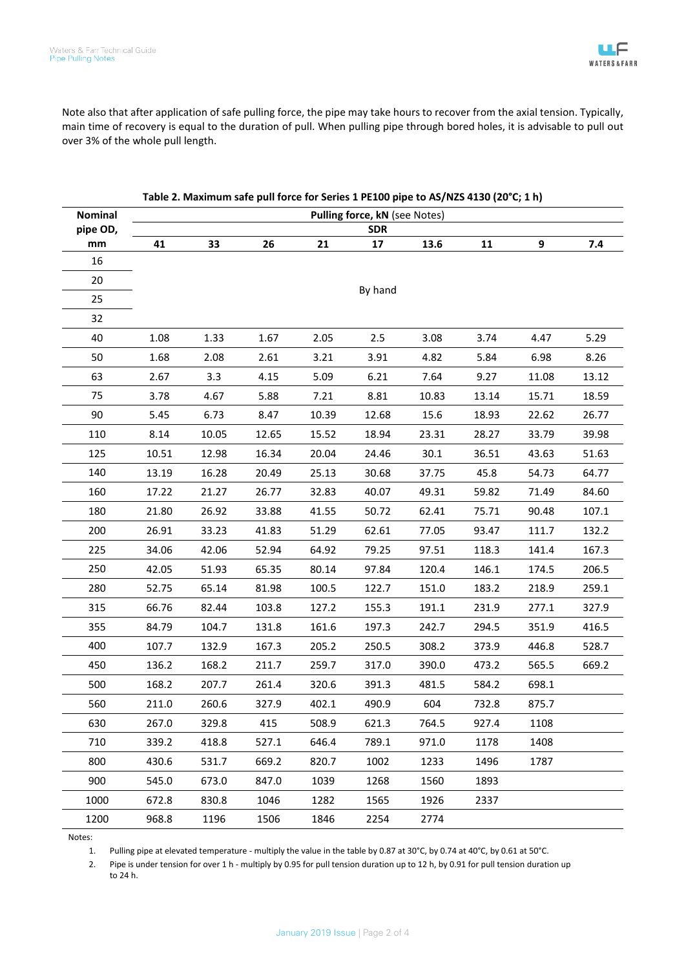Note also that after application of safe pulling force, the pipe may take hours to recover from the axial tension. Typically, main time of recovery is equal to the duration of pull. When pulling pipe through bored holes, it is advisable to pull out over 3% of the whole pull length.

| <b>Nominal</b> | Pulling force, kN (see Notes) |       |       |       |            |       |       |       |       |
|----------------|-------------------------------|-------|-------|-------|------------|-------|-------|-------|-------|
| pipe OD,       |                               |       |       |       | <b>SDR</b> |       |       |       |       |
| mm             | 41                            | 33    | 26    | 21    | 17         | 13.6  | 11    | 9     | 7.4   |
| 16             |                               |       |       |       |            |       |       |       |       |
| 20             |                               |       |       |       | By hand    |       |       |       |       |
| 25             |                               |       |       |       |            |       |       |       |       |
| 32             |                               |       |       |       |            |       |       |       |       |
| 40             | 1.08                          | 1.33  | 1.67  | 2.05  | 2.5        | 3.08  | 3.74  | 4.47  | 5.29  |
| 50             | 1.68                          | 2.08  | 2.61  | 3.21  | 3.91       | 4.82  | 5.84  | 6.98  | 8.26  |
| 63             | 2.67                          | 3.3   | 4.15  | 5.09  | 6.21       | 7.64  | 9.27  | 11.08 | 13.12 |
| 75             | 3.78                          | 4.67  | 5.88  | 7.21  | 8.81       | 10.83 | 13.14 | 15.71 | 18.59 |
| 90             | 5.45                          | 6.73  | 8.47  | 10.39 | 12.68      | 15.6  | 18.93 | 22.62 | 26.77 |
| 110            | 8.14                          | 10.05 | 12.65 | 15.52 | 18.94      | 23.31 | 28.27 | 33.79 | 39.98 |
| 125            | 10.51                         | 12.98 | 16.34 | 20.04 | 24.46      | 30.1  | 36.51 | 43.63 | 51.63 |
| 140            | 13.19                         | 16.28 | 20.49 | 25.13 | 30.68      | 37.75 | 45.8  | 54.73 | 64.77 |
| 160            | 17.22                         | 21.27 | 26.77 | 32.83 | 40.07      | 49.31 | 59.82 | 71.49 | 84.60 |
| 180            | 21.80                         | 26.92 | 33.88 | 41.55 | 50.72      | 62.41 | 75.71 | 90.48 | 107.1 |
| 200            | 26.91                         | 33.23 | 41.83 | 51.29 | 62.61      | 77.05 | 93.47 | 111.7 | 132.2 |
| 225            | 34.06                         | 42.06 | 52.94 | 64.92 | 79.25      | 97.51 | 118.3 | 141.4 | 167.3 |
| 250            | 42.05                         | 51.93 | 65.35 | 80.14 | 97.84      | 120.4 | 146.1 | 174.5 | 206.5 |
| 280            | 52.75                         | 65.14 | 81.98 | 100.5 | 122.7      | 151.0 | 183.2 | 218.9 | 259.1 |
| 315            | 66.76                         | 82.44 | 103.8 | 127.2 | 155.3      | 191.1 | 231.9 | 277.1 | 327.9 |
| 355            | 84.79                         | 104.7 | 131.8 | 161.6 | 197.3      | 242.7 | 294.5 | 351.9 | 416.5 |
| 400            | 107.7                         | 132.9 | 167.3 | 205.2 | 250.5      | 308.2 | 373.9 | 446.8 | 528.7 |
| 450            | 136.2                         | 168.2 | 211.7 | 259.7 | 317.0      | 390.0 | 473.2 | 565.5 | 669.2 |
| 500            | 168.2                         | 207.7 | 261.4 | 320.6 | 391.3      | 481.5 | 584.2 | 698.1 |       |
| 560            | 211.0                         | 260.6 | 327.9 | 402.1 | 490.9      | 604   | 732.8 | 875.7 |       |
| 630            | 267.0                         | 329.8 | 415   | 508.9 | 621.3      | 764.5 | 927.4 | 1108  |       |
| 710            | 339.2                         | 418.8 | 527.1 | 646.4 | 789.1      | 971.0 | 1178  | 1408  |       |
| 800            | 430.6                         | 531.7 | 669.2 | 820.7 | 1002       | 1233  | 1496  | 1787  |       |
| 900            | 545.0                         | 673.0 | 847.0 | 1039  | 1268       | 1560  | 1893  |       |       |
| 1000           | 672.8                         | 830.8 | 1046  | 1282  | 1565       | 1926  | 2337  |       |       |
| 1200           | 968.8                         | 1196  | 1506  | 1846  | 2254       | 2774  |       |       |       |

| Table 2. Maximum safe pull force for Series 1 PE100 pipe to AS/NZS 4130 (20°C; 1 h) |  |  |  |
|-------------------------------------------------------------------------------------|--|--|--|
|-------------------------------------------------------------------------------------|--|--|--|

Notes:

1. Pulling pipe at elevated temperature - multiply the value in the table by 0.87 at 30°C, by 0.74 at 40°C, by 0.61 at 50°C.

2. Pipe is under tension for over 1 h - multiply by 0.95 for pull tension duration up to 12 h, by 0.91 for pull tension duration up to 24 h.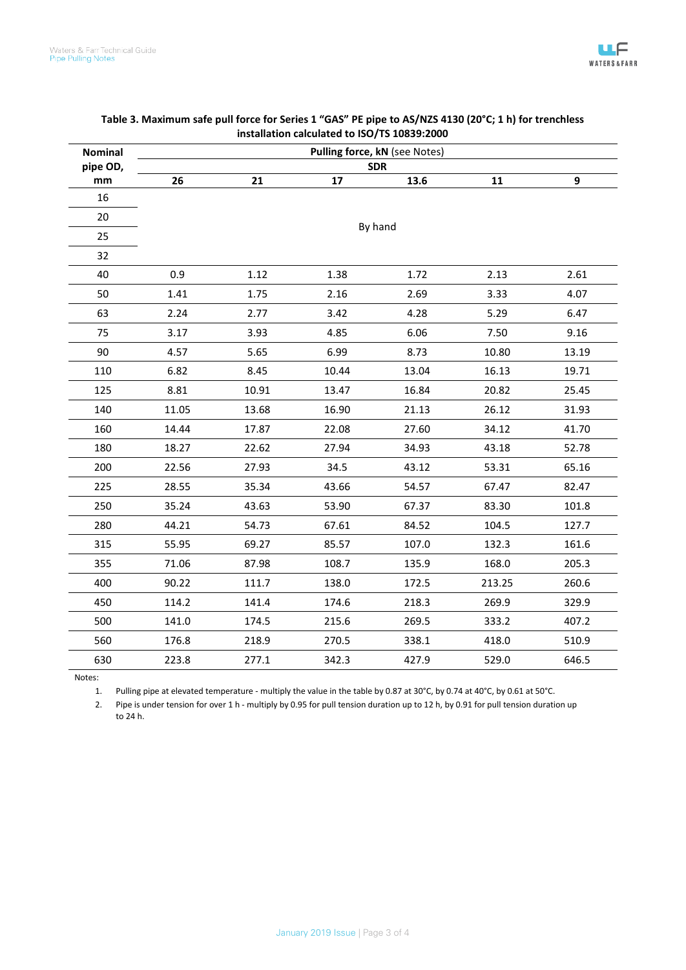| <b>Nominal</b> | Pulling force, kN (see Notes) |       |       |         |        |       |  |  |  |
|----------------|-------------------------------|-------|-------|---------|--------|-------|--|--|--|
| pipe OD,       | <b>SDR</b>                    |       |       |         |        |       |  |  |  |
| mm             | 26                            | 21    | 17    | 13.6    | 11     | 9     |  |  |  |
| 16             |                               |       |       |         |        |       |  |  |  |
| 20             |                               |       |       |         |        |       |  |  |  |
| 25             |                               |       |       | By hand |        |       |  |  |  |
| 32             |                               |       |       |         |        |       |  |  |  |
| 40             | 0.9                           | 1.12  | 1.38  | 1.72    | 2.13   | 2.61  |  |  |  |
| 50             | 1.41                          | 1.75  | 2.16  | 2.69    | 3.33   | 4.07  |  |  |  |
| 63             | 2.24                          | 2.77  | 3.42  | 4.28    | 5.29   | 6.47  |  |  |  |
| 75             | 3.17                          | 3.93  | 4.85  | 6.06    | 7.50   | 9.16  |  |  |  |
| 90             | 4.57                          | 5.65  | 6.99  | 8.73    | 10.80  | 13.19 |  |  |  |
| 110            | 6.82                          | 8.45  | 10.44 | 13.04   | 16.13  | 19.71 |  |  |  |
| 125            | 8.81                          | 10.91 | 13.47 | 16.84   | 20.82  | 25.45 |  |  |  |
| 140            | 11.05                         | 13.68 | 16.90 | 21.13   | 26.12  | 31.93 |  |  |  |
| 160            | 14.44                         | 17.87 | 22.08 | 27.60   | 34.12  | 41.70 |  |  |  |
| 180            | 18.27                         | 22.62 | 27.94 | 34.93   | 43.18  | 52.78 |  |  |  |
| 200            | 22.56                         | 27.93 | 34.5  | 43.12   | 53.31  | 65.16 |  |  |  |
| 225            | 28.55                         | 35.34 | 43.66 | 54.57   | 67.47  | 82.47 |  |  |  |
| 250            | 35.24                         | 43.63 | 53.90 | 67.37   | 83.30  | 101.8 |  |  |  |
| 280            | 44.21                         | 54.73 | 67.61 | 84.52   | 104.5  | 127.7 |  |  |  |
| 315            | 55.95                         | 69.27 | 85.57 | 107.0   | 132.3  | 161.6 |  |  |  |
| 355            | 71.06                         | 87.98 | 108.7 | 135.9   | 168.0  | 205.3 |  |  |  |
| 400            | 90.22                         | 111.7 | 138.0 | 172.5   | 213.25 | 260.6 |  |  |  |
| 450            | 114.2                         | 141.4 | 174.6 | 218.3   | 269.9  | 329.9 |  |  |  |
| 500            | 141.0                         | 174.5 | 215.6 | 269.5   | 333.2  | 407.2 |  |  |  |
| 560            | 176.8                         | 218.9 | 270.5 | 338.1   | 418.0  | 510.9 |  |  |  |
| 630            | 223.8                         | 277.1 | 342.3 | 427.9   | 529.0  | 646.5 |  |  |  |

## **Table 3. Maximum safe pull force for Series 1 "GAS" PE pipe to AS/NZS 4130 (20°C; 1 h) for trenchless installation calculated to ISO/TS 10839:2000**

Notes:

1. Pulling pipe at elevated temperature - multiply the value in the table by 0.87 at 30°C, by 0.74 at 40°C, by 0.61 at 50°C.

2. Pipe is under tension for over 1 h - multiply by 0.95 for pull tension duration up to 12 h, by 0.91 for pull tension duration up to 24 h.